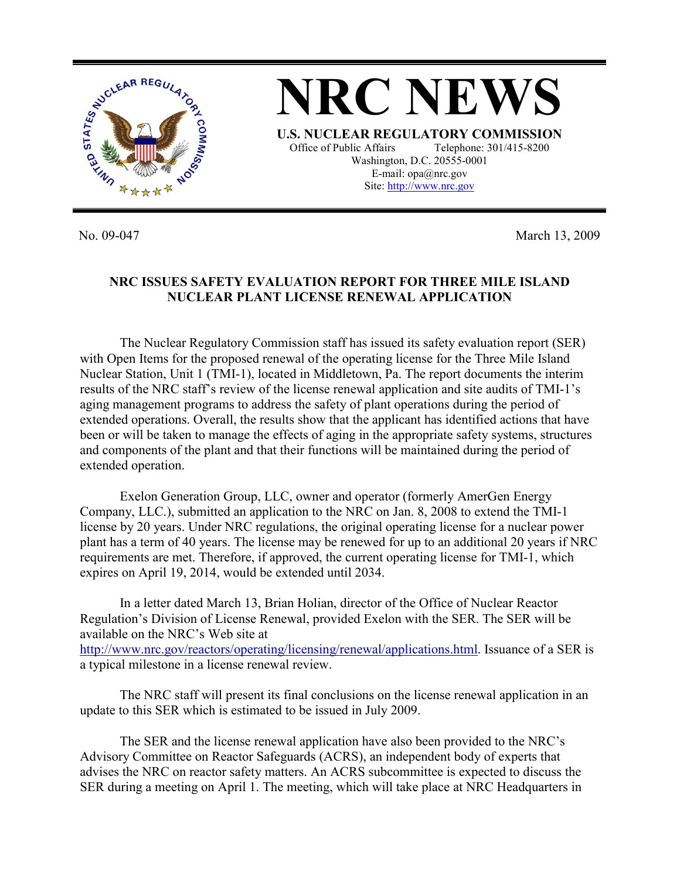

No. 09-047 March 13, 2009

## **NRC ISSUES SAFETY EVALUATION REPORT FOR THREE MILE ISLAND NUCLEAR PLANT LICENSE RENEWAL APPLICATION**

 The Nuclear Regulatory Commission staff has issued its safety evaluation report (SER) with Open Items for the proposed renewal of the operating license for the Three Mile Island Nuclear Station, Unit 1 (TMI-1), located in Middletown, Pa. The report documents the interim results of the NRC staff's review of the license renewal application and site audits of TMI-1's aging management programs to address the safety of plant operations during the period of extended operations. Overall, the results show that the applicant has identified actions that have been or will be taken to manage the effects of aging in the appropriate safety systems, structures and components of the plant and that their functions will be maintained during the period of extended operation.

 Exelon Generation Group, LLC, owner and operator (formerly AmerGen Energy Company, LLC.), submitted an application to the NRC on Jan. 8, 2008 to extend the TMI-1 license by 20 years. Under NRC regulations, the original operating license for a nuclear power plant has a term of 40 years. The license may be renewed for up to an additional 20 years if NRC requirements are met. Therefore, if approved, the current operating license for TMI-1, which expires on April 19, 2014, would be extended until 2034.

 In a letter dated March 13, Brian Holian, director of the Office of Nuclear Reactor Regulation's Division of License Renewal, provided Exelon with the SER. The SER will be available on the NRC's Web site at http://www.nrc.gov/reactors/operating/licensing/renewal/applications.html. Issuance of a SER is a typical milestone in a license renewal review.

 The NRC staff will present its final conclusions on the license renewal application in an update to this SER which is estimated to be issued in July 2009.

 The SER and the license renewal application have also been provided to the NRC's Advisory Committee on Reactor Safeguards (ACRS), an independent body of experts that advises the NRC on reactor safety matters. An ACRS subcommittee is expected to discuss the SER during a meeting on April 1. The meeting, which will take place at NRC Headquarters in